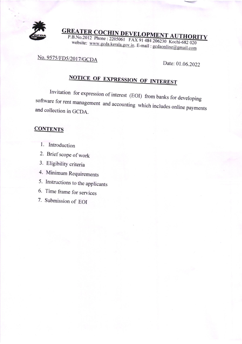

**GREATER COCHIN DEVELOPMENT AUTHO**<br>
P.B.No.2012 Phone : 2205061 FAX 91.484.206222. P.B.No.2012 Phone : 2205061 FAX 91 484 206230 Kochi-682 020 website: www.gcda.kerala.gov.in. E-mail:  $gcdonline \oslash g$ 

### No. 9575/FD5/2017/GCDA

Date: 01.06.2022

# <u>OTICE OF EXPRESSION OF INTEREST</u>

Invitation for expression of interest (EOI) from banks for developing software for rent management and accounting which includes online payments and collection in GCDA.

#### **CONTENTS**

- l. Introduction
- 2. Brief scope of work
- 3. Eligibility criteria
- 4. Minimum Requirements
- 5. Instructions to the applicants
- 6. Time frame for services
- 7. Submission of EOI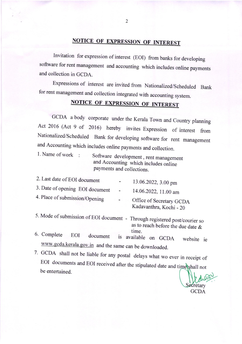### NOTICE OF EXPRESSION OF INTEREST

Invitation for expression of interest (EOI) from banks fordeveloping software for rent management and accounting which includes online payments and collection in GCDA.

Expressions of interest are invited from Nationalized/Scheduled Bank for rent management and collection integrated with accounting system.

## NOTICE OF EXPRESSION OF INTEREST

GCDA a body corporate under the Kerala Town and Country planning Act 2016 (Act 9 of 2016) hereby invites Expression of interest from Nationalized/scheduled Bank for developing software for rent management and Accounting which includes online payments and collection.

1. Name of work Software development, rent management and Accounting which includes online payments and collections.

| 2. Last date of EOI document    | $\overline{\phantom{a}}$ | 13.06.2022, 3.00 pm                                 |
|---------------------------------|--------------------------|-----------------------------------------------------|
| 3. Date of opening EOI document | $ \,$                    | 14.06.2022, 11.00 am                                |
| 4. Place of submission/Opening  | $\overline{\phantom{a}}$ | Office of Secretary GCDA<br>Kadavanthra, Kochi - 20 |

- 5. Mode of submission of EOI document Through registered post/courier so as to reach before the due date &
- 6. Complete EOI document is available on GCDA website ie www.gcda.kerala.gov.in and the same can be downloaded.
- 7. GCDA shall not be liable for any postal delays what wo ever in receipt of EOI documents and EOI received after the stipulated date and time shall not be entertained.

ecretary GCDA